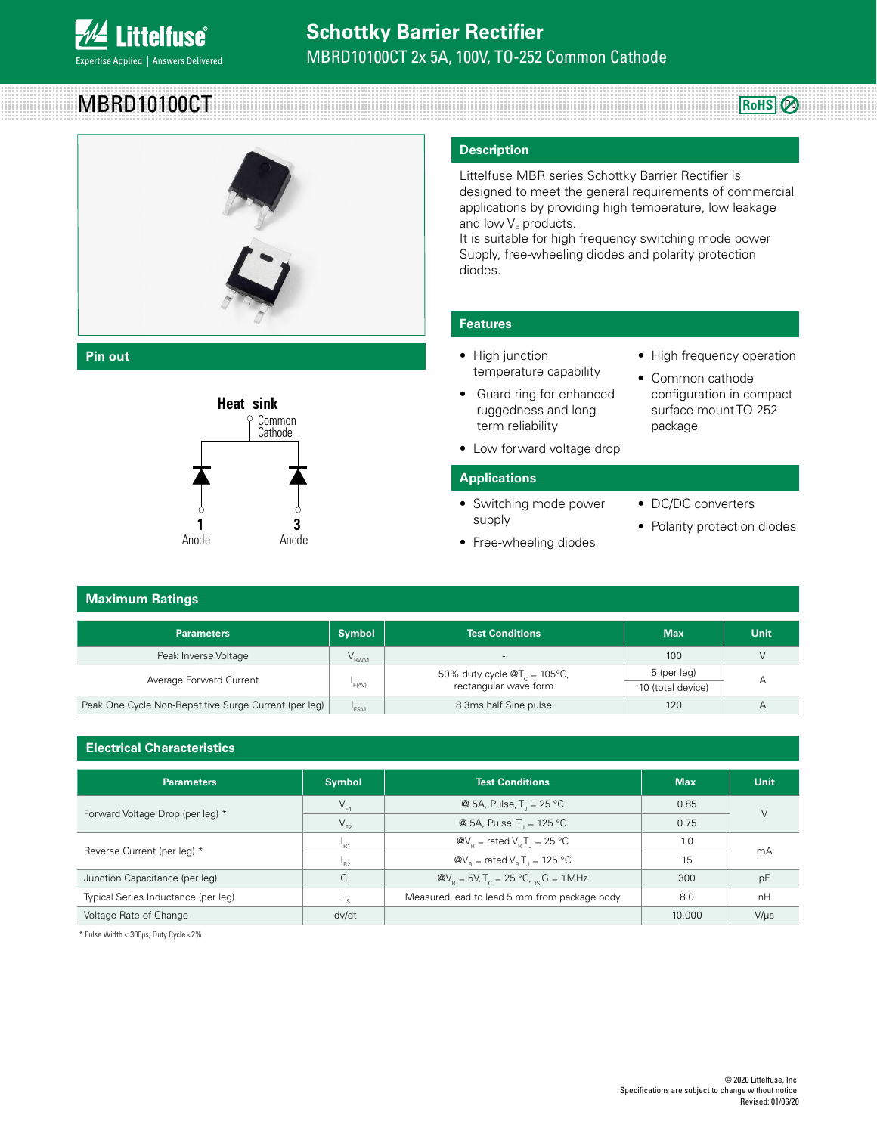

# MBRD10100CT



**Pin out**



D2 -PAK & D -PAK

### **Maximum Ratings** Some Common

### **Parameters Max Example 1 Parameters Max D** Unit Peak Inverse Voltage **Victor Community Community Community** Victor Community Community Victor Community Victor Victor Victor Victor Victor Victor Victor Victor Victor Victor Victor Victor Victor Victor Victor Victor Victor Average Forward Current  $I_{F(AV)}$ 50% duty cycle  $\mathcal{Q}T_c = 105^{\circ}C$ , rectangular wave form  $\frac{5 \text{ (per leg)}}{4}$  A 10 (total device) Peak One Cycle Non-Repetitive Surge Current (per leg)  $\vert \qquad \vert_{\text{FSM}}$ **EXECUTE:** 120 A B.3ms,half Sine pulse 120 A Common Cathode Pinout <sup>3</sup> **Max**  $100$

### **Electrical Characteristics**

| <b>Parameters</b>                   | <b>Symbol</b>   | <b>Test Conditions</b>                                                            | <b>Max</b> | <b>Unit</b> |  |
|-------------------------------------|-----------------|-----------------------------------------------------------------------------------|------------|-------------|--|
| Forward Voltage Drop (per leg) *    | $V_{F1}$        | @ 5A, Pulse, $T_1 = 25 \degree C$                                                 | 0.85       |             |  |
|                                     | $V_{F2}$        | @ 5A, Pulse, $T_1 = 125 °C$                                                       | 0.75       |             |  |
| Reverse Current (per leg) *         | 'R1             | $\omega_{\rm b}$ = rated V <sub>e</sub> T <sub>1</sub> = 25 °C                    | 1.0<br>mA  |             |  |
|                                     | <sup>1</sup> R2 | $\omega V_{\rm e}$ = rated V <sub>e</sub> T <sub>1</sub> = 125 °C                 | 15         |             |  |
| Junction Capacitance (per leg)      |                 | $\omega_{\rm B} = 5V, T_c = 25 \,^{\circ}\text{C}, \, \text{G} = 1 \, \text{MHz}$ | 300        | рF          |  |
| Typical Series Inductance (per leg) |                 | Measured lead to lead 5 mm from package body                                      | 8.0        | nH          |  |
| Voltage Rate of Change              | dv/dt           |                                                                                   | 10,000     | $V/\mu s$   |  |

\* Pulse Width < 300μs, Duty Cycle <2%

## **Description**

Littelfuse MBR series Schottky Barrier Rectifier is designed to meet the general requirements of commercial applications by providing high temperature, low leakage and low  $\mathsf{V}_\mathsf{F}$  products.

It is suitable for high frequency switching mode power Supply, free-wheeling diodes and polarity protection diodes.

### **Features**

- High junction temperature capability
- Guard ring for enhanced ruggedness and long term reliability **Heat sink** Cathode
	- Low forward voltage drop

### **Applications**

- Switching mode power supply
- Cathode

• High frequency operation

**RoHS** 

- Common cathode configuration in compact surface mount TO-252 package
- DC/DC converters
- Polarity protection diodes **1 2 3 1 2 3**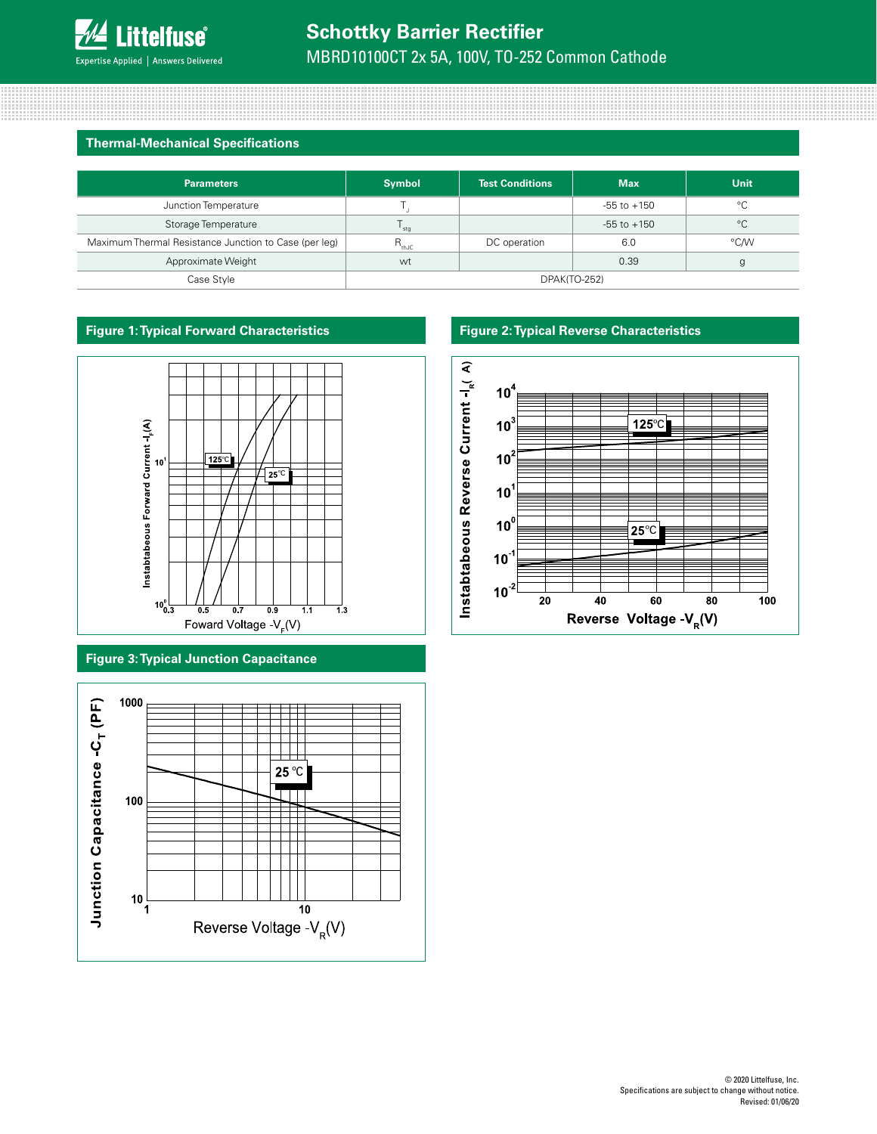### **Thermal-Mechanical Specifications**

| <b>Parameters</b>                                     | <b>Symbol</b>       | <b>Test Conditions</b> | <b>Max</b>      | <b>Unit</b> |
|-------------------------------------------------------|---------------------|------------------------|-----------------|-------------|
| Junction Temperature                                  |                     |                        | $-55$ to $+150$ | °€          |
| Storage Temperature                                   | stg                 |                        | $-55$ to $+150$ | $^{\circ}C$ |
| Maximum Thermal Resistance Junction to Case (per leg) | $R_{thJC}$          | DC operation           | 6.0             | °C/W        |
| Approximate Weight                                    | wt                  |                        | 0.39            |             |
| Case Style                                            | <b>DPAK(TO-252)</b> |                        |                 |             |



### **Figure 3: Typical Junction Capacitance**



### **Figure 1: Typical Forward Characteristics Figure 2: Typical Reverse Characteristics**